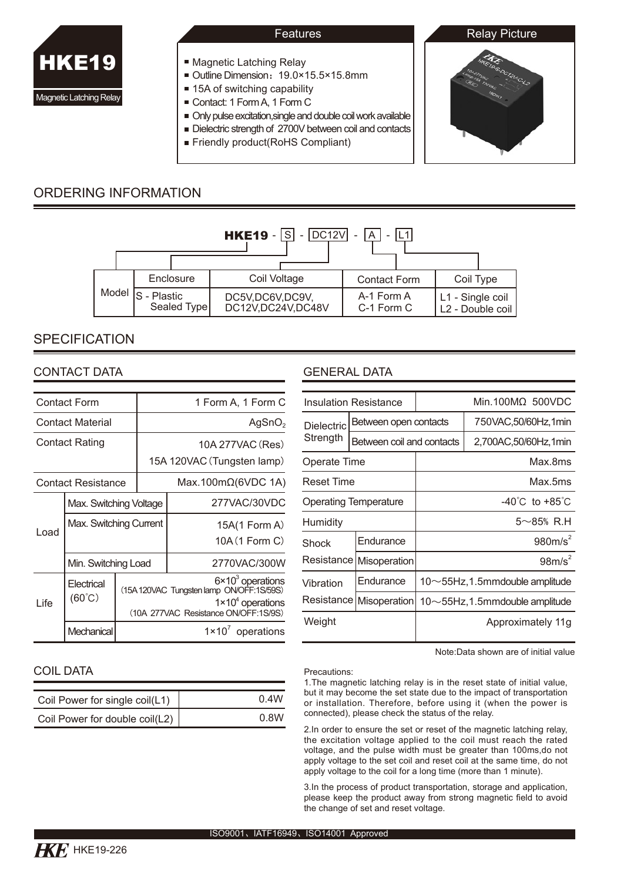

- **Magnetic Latching Relay**
- Outline Dimension: 19.0×15.5×15.8mm
- 15A of switching capability
- Contact: 1 Form A, 1 Form C
- Only pulse excitation,single and double coil work available
- Dielectric strength of 2700V between coil and contacts
- Friendly product (RoHS Compliant)



# ORDERING INFORMATION



# **SPECIFICATION**

## CONTACT DATA

| Contact Form          |                               |  | 1 Form A, 1 Form C                                                                                                                           |                                 |  |  |  |
|-----------------------|-------------------------------|--|----------------------------------------------------------------------------------------------------------------------------------------------|---------------------------------|--|--|--|
| Contact Material      |                               |  | AgSnO <sub>2</sub>                                                                                                                           |                                 |  |  |  |
| <b>Contact Rating</b> |                               |  | 10A 277VAC (Res)                                                                                                                             |                                 |  |  |  |
|                       |                               |  | 15A 120VAC (Tungsten lamp)                                                                                                                   |                                 |  |  |  |
|                       | <b>Contact Resistance</b>     |  |                                                                                                                                              | Max.100m $\Omega$ (6VDC 1A)     |  |  |  |
| Load                  | Max. Switching Voltage        |  |                                                                                                                                              | 277VAC/30VDC                    |  |  |  |
|                       | Max. Switching Current        |  |                                                                                                                                              | 15A(1 Form A)<br>10A (1 Form C) |  |  |  |
|                       | Min. Switching Load           |  |                                                                                                                                              | 2770VAC/300W                    |  |  |  |
| l ife                 | Electrical<br>$(60^{\circ}C)$ |  | $6 \times 10^3$ operations<br>(15A 120VAC Tungsten lamp ON/OFF:1S/59S)<br>$1 \times 10^4$ operations<br>(10A 277VAC Resistance ON/OFF:1S/9S) |                                 |  |  |  |
|                       | Mechanical                    |  | $1 \times 10^7$ operations                                                                                                                   |                                 |  |  |  |

# GENERAL DATA

|                   | <b>Insulation Resistance</b> |                                            | $Min.100M\Omega 500VDC$ |  |  |
|-------------------|------------------------------|--------------------------------------------|-------------------------|--|--|
| <b>Dielectric</b> | Between open contacts        | 750VAC,50/60Hz,1min                        |                         |  |  |
| Strength          | Between coil and contacts    |                                            | 2,700AC,50/60Hz,1min    |  |  |
| Operate Time      |                              | Max.8ms                                    |                         |  |  |
| <b>Reset Time</b> |                              | Max.5ms                                    |                         |  |  |
|                   | <b>Operating Temperature</b> | $-40^{\circ}$ C to $+85^{\circ}$ C         |                         |  |  |
| Humidity          |                              | $5 \sim 85\%$ R.H                          |                         |  |  |
| Shock             | Endurance                    | 980m/s <sup>2</sup>                        |                         |  |  |
|                   | Resistance   Misoperation    |                                            | $98m/s^2$               |  |  |
| Vibration         | Endurance                    | $10\nthicksim$ 55Hz, 1.5mmdouble amplitude |                         |  |  |
|                   | Resistance   Misoperation    | $10\nthicksim$ 55Hz, 1.5mmdouble amplitude |                         |  |  |
| Weight            |                              | Approximately 11q                          |                         |  |  |
|                   |                              |                                            |                         |  |  |

Note:Data shown are of initial value

#### Precautions:

1.The magnetic latching relay is in the reset state of initial value, but it may become the set state due to the impact of transportation or installation. Therefore, before using it (when the power is connected), please check the status of the relay.

2.In order to ensure the set or reset of the magnetic latching relay, the excitation voltage applied to the coil must reach the rated voltage, and the pulse width must be greater than 100ms,do not apply voltage to the set coil and reset coil at the same time, do not apply voltage to the coil for a long time (more than 1 minute).

3.In the process of product transportation, storage and application, please keep the product away from strong magnetic field to avoid the change of set and reset voltage.

## COIL DATA

| Coil Power for single coil(L1) | 0.4W |
|--------------------------------|------|
| Coil Power for double coil(L2) | 0.8W |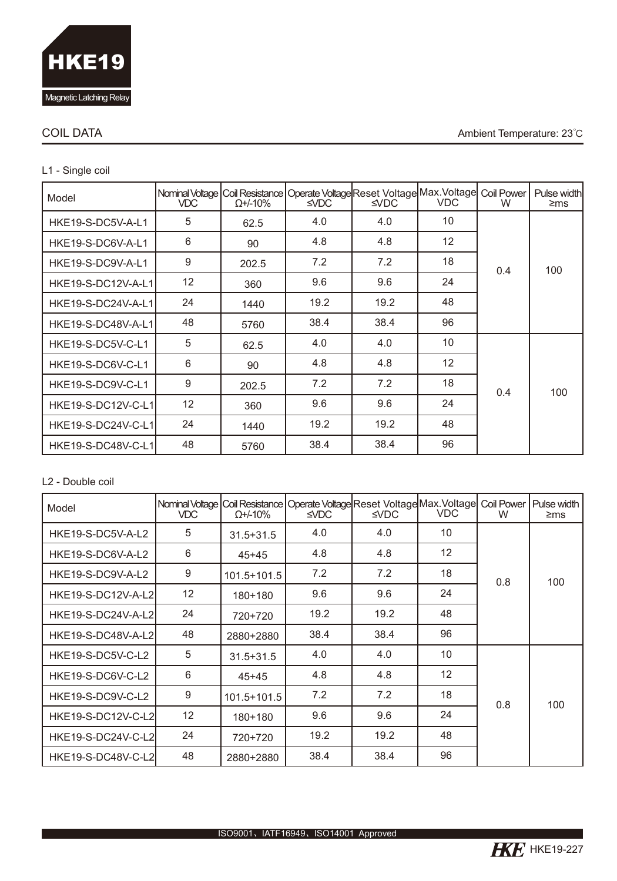

### COIL DATA Ambient Temperature: 23℃

# L1 - Single coil

| Model                           | VDC. | $\Omega$ +/-10% | Nominal Voltage   Coil Resistance   Operate Voltage Reset Voltage  Max. Voltage  Coil Power<br>$\triangle$ VDC | $\triangle$ VDC | <b>VDC</b> | W   | Pulse width<br>$\geq$ ms |
|---------------------------------|------|-----------------|----------------------------------------------------------------------------------------------------------------|-----------------|------------|-----|--------------------------|
| HKE19-S-DC5V-A-L1               | 5    | 62.5            | 4.0                                                                                                            | 4.0             | 10         |     |                          |
| HKE19-S-DC6V-A-L1               | 6    | 90              | 4.8                                                                                                            | 4.8             | 12         |     |                          |
| HKE19-S-DC9V-A-L1               | 9    | 202.5           | 7.2                                                                                                            | 7.2             | 18         | 0.4 | 100                      |
| HKE19-S-DC12V-A-L1              | 12   | 360             | 9.6                                                                                                            | 9.6             | 24         |     |                          |
| 24<br>HKE19-S-DC24V-A-L1        |      | 1440            | 19.2                                                                                                           | 19.2            | 48         |     |                          |
| HKE19-S-DC48V-A-L1              | 48   | 5760            | 38.4                                                                                                           | 38.4            | 96         |     |                          |
| HKE19-S-DC5V-C-L1               | 5    | 62.5            | 4.0                                                                                                            | 4.0             | 10         |     |                          |
| HKE19-S-DC6V-C-L1               | 6    | 90              | 4.8                                                                                                            | 4.8             | 12         |     |                          |
| HKE19-S-DC9V-C-L1               | 9    | 202.5           | 7.2                                                                                                            | 7.2             | 18         | 0.4 | 100                      |
| 12<br><b>HKE19-S-DC12V-C-L1</b> |      | 360             | 9.6                                                                                                            | 9.6             | 24         |     |                          |
| HKE19-S-DC24V-C-L1              | 24   | 1440            | 19.2                                                                                                           | 19.2            | 48         |     |                          |
| HKE19-S-DC48V-C-L1              | 48   | 5760            | 38.4                                                                                                           | 38.4            | 96         |     |                          |

### L2 - Double coil

| Model                           | VDC | $\Omega$ +/-10% | Nominal Voltage   Coil Resistance   Operate Voltage  Reset Voltage  Max. Voltage <br>$\triangle$ VDC | $\triangle$ VDC | <b>VDC</b> | <b>Coil Power</b><br>W | Pulse width<br>$\geq$ ms |
|---------------------------------|-----|-----------------|------------------------------------------------------------------------------------------------------|-----------------|------------|------------------------|--------------------------|
| HKE19-S-DC5V-A-L2               | 5   | $31.5 + 31.5$   | 4.0                                                                                                  | 4.0             | 10         |                        |                          |
| HKE19-S-DC6V-A-L2               | 6   | $45 + 45$       | 4.8                                                                                                  | 4.8             | 12         |                        |                          |
| HKE19-S-DC9V-A-L2               | 9   | $101.5 + 101.5$ | 7.2                                                                                                  | 7.2             | 18         | 0.8                    | 100                      |
| 12<br><b>HKE19-S-DC12V-A-L2</b> |     | 180+180         | 9.6                                                                                                  | 9.6             | 24         |                        |                          |
| 24<br>HKE19-S-DC24V-A-L2        |     | 720+720         | 19.2                                                                                                 | 19.2            | 48         |                        |                          |
| HKE19-S-DC48V-A-L2              | 48  | 2880+2880       | 38.4                                                                                                 | 38.4            | 96         |                        |                          |
| HKE19-S-DC5V-C-L2               | 5   | $31.5 + 31.5$   | 4.0                                                                                                  | 4.0             | 10         |                        |                          |
| HKE19-S-DC6V-C-L2               | 6   | $45+45$         | 4.8                                                                                                  | 4.8             | 12         |                        |                          |
| HKE19-S-DC9V-C-L2               | 9   | $101.5 + 101.5$ | 7.2                                                                                                  | 7.2             | 18         | 0.8                    | 100                      |
| 12<br>HKE19-S-DC12V-C-L2        |     | 180+180         | 9.6                                                                                                  | 9.6             | 24         |                        |                          |
| HKE19-S-DC24V-C-L2              | 24  | 720+720         | 19.2                                                                                                 | 19.2            | 48         |                        |                          |
| HKE19-S-DC48V-C-L2              | 48  | 2880+2880       | 38.4                                                                                                 | 38.4            | 96         |                        |                          |

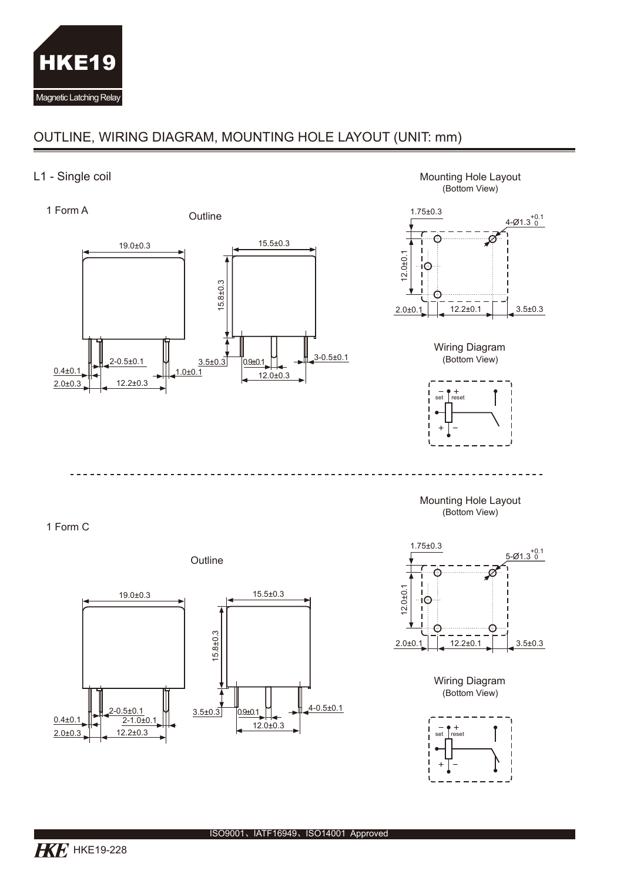

# OUTLINE, WIRING DIAGRAM, MOUNTING HOLE LAYOUT (UNIT: mm)

## L1 - Single coil

 $2 - 0.5 \pm 0.1$ 19.0±0.3  $\frac{0.4\pm0.1}{2.0\pm0.3}$  12.2±0.3  $2.0 \pm 0.3$  $3.5\pm0.3$  0.9±0.1  $\rightarrow 3-0.5\pm0.1$ 12.0±0.3 15.8±0.3 15.5±0.3 Outline 1 Form A



Mounting Hole Layout (Bottom View)

 $- - - -$ 





Outline

 $- - - \sim$   $-$ J.  $\sim$   $-$ 



Wiring Diagram (Bottom View)